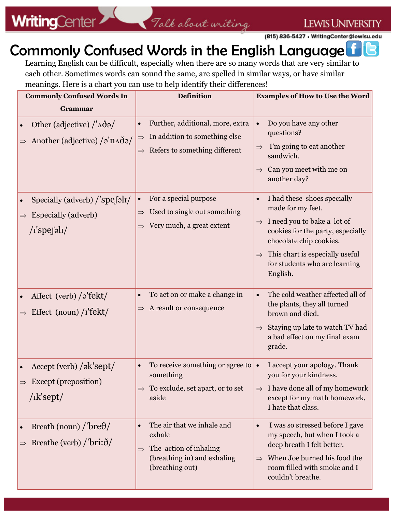**LEWIS UNIVERSITY** 

## Commonly Confused Words in the English Language IR.

Learning English can be difficult, especially when there are so many words that are very similar to each other. Sometimes words can sound the same, are spelled in similar ways, or have similar meanings. Here is a chart you can use to help identify their differences!

| <b>Commonly Confused Words In</b>                                                                        | <b>Definition</b>                                                                                                                              | <b>Examples of How to Use the Word</b>                                                                                                                                                                                                                                         |
|----------------------------------------------------------------------------------------------------------|------------------------------------------------------------------------------------------------------------------------------------------------|--------------------------------------------------------------------------------------------------------------------------------------------------------------------------------------------------------------------------------------------------------------------------------|
| Grammar                                                                                                  |                                                                                                                                                |                                                                                                                                                                                                                                                                                |
| Other (adjective) $/\Delta\tilde{\partial}$<br>Another (adjective) $\sqrt{2}$ 'n $\Delta \delta$ a/      | Further, additional, more, extra<br>In addition to something else<br>$\Rightarrow$<br>Refers to something different<br>$\Rightarrow$           | Do you have any other<br>questions?<br>I'm going to eat another<br>$\Rightarrow$<br>sandwich.<br>Can you meet with me on<br>another day?                                                                                                                                       |
| Specially (adverb) $\frac{1}{s}$ spefall<br>$\bullet$<br><b>Especially (adverb)</b><br>$/$ i'spefəli $/$ | For a special purpose<br>$\bullet$<br>Used to single out something<br>$\Rightarrow$<br>Very much, a great extent<br>$\Rightarrow$              | I had these shoes specially<br>$\bullet$<br>made for my feet.<br>I need you to bake a lot of<br>$\Rightarrow$<br>cookies for the party, especially<br>chocolate chip cookies.<br>This chart is especially useful<br>$\Rightarrow$<br>for students who are learning<br>English. |
| Affect (verb) $\frac{\partial^2 f}{\partial x^2}$<br>Effect (noun) $\frac{r}{\text{tekt}}$               | To act on or make a change in<br>A result or consequence<br>$\Rightarrow$                                                                      | The cold weather affected all of<br>the plants, they all turned<br>brown and died.<br>Staying up late to watch TV had<br>$\Rightarrow$<br>a bad effect on my final exam<br>grade.                                                                                              |
| Accept (verb) /ək'sept/<br>$\Rightarrow$ Except (preposition)<br>$/$ <sup>I</sup> k'sept $/$             | To receive something or agree to<br>something<br>$\Rightarrow$ To exclude, set apart, or to set<br>aside                                       | I accept your apology. Thank<br>you for your kindness.<br>$\Rightarrow$ I have done all of my homework<br>except for my math homework,<br>I hate that class.                                                                                                                   |
| Breath (noun) $/$ bre $\theta/$<br>Breathe (verb) $/$ bri: $\delta/$                                     | The air that we inhale and<br>$\bullet$<br>exhale<br>The action of inhaling<br>$\Rightarrow$<br>(breathing in) and exhaling<br>(breathing out) | I was so stressed before I gave<br>$\bullet$<br>my speech, but when I took a<br>deep breath I felt better.<br>When Joe burned his food the<br>$\Rightarrow$<br>room filled with smoke and I<br>couldn't breathe.                                                               |